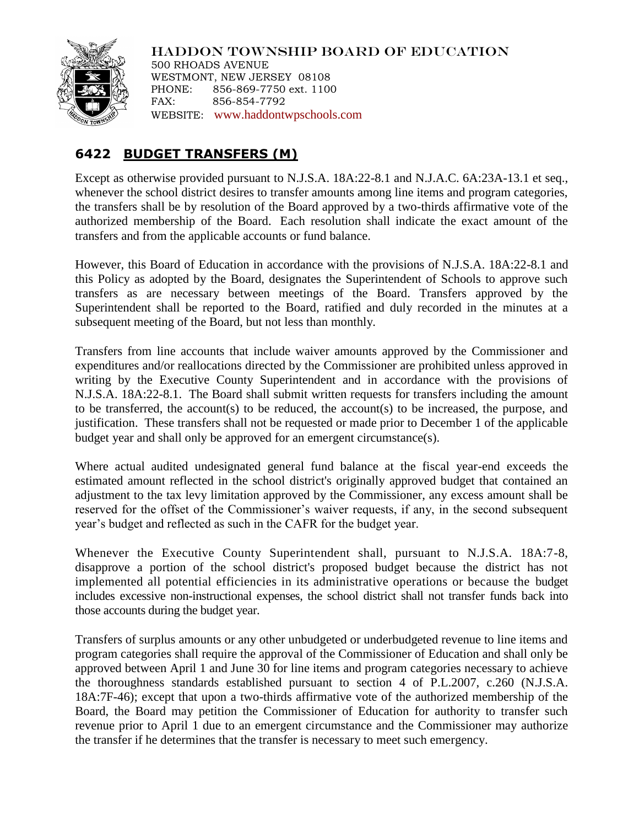

HADDON TOWNSHIP BOARD OF EDUCATION 500 RHOADS AVENUE WESTMONT, NEW JERSEY 08108 PHONE: 856-869-7750 ext. 1100 FAX: 856-854-7792 WEBSITE: [www.haddontwpschools.com](http://www.haddontwpschools.com/)

## **6422 BUDGET TRANSFERS (M)**

Except as otherwise provided pursuant to N.J.S.A. 18A:22-8.1 and N.J.A.C. 6A:23A-13.1 et seq., whenever the school district desires to transfer amounts among line items and program categories, the transfers shall be by resolution of the Board approved by a two-thirds affirmative vote of the authorized membership of the Board. Each resolution shall indicate the exact amount of the transfers and from the applicable accounts or fund balance.

However, this Board of Education in accordance with the provisions of N.J.S.A. 18A:22-8.1 and this Policy as adopted by the Board, designates the Superintendent of Schools to approve such transfers as are necessary between meetings of the Board. Transfers approved by the Superintendent shall be reported to the Board, ratified and duly recorded in the minutes at a subsequent meeting of the Board, but not less than monthly.

Transfers from line accounts that include waiver amounts approved by the Commissioner and expenditures and/or reallocations directed by the Commissioner are prohibited unless approved in writing by the Executive County Superintendent and in accordance with the provisions of N.J.S.A. 18A:22-8.1. The Board shall submit written requests for transfers including the amount to be transferred, the account(s) to be reduced, the account(s) to be increased, the purpose, and justification. These transfers shall not be requested or made prior to December 1 of the applicable budget year and shall only be approved for an emergent circumstance(s).

Where actual audited undesignated general fund balance at the fiscal year-end exceeds the estimated amount reflected in the school district's originally approved budget that contained an adjustment to the tax levy limitation approved by the Commissioner, any excess amount shall be reserved for the offset of the Commissioner's waiver requests, if any, in the second subsequent year's budget and reflected as such in the CAFR for the budget year.

Whenever the Executive County Superintendent shall, pursuant to N.J.S.A. 18A:7-8, disapprove a portion of the school district's proposed budget because the district has not implemented all potential efficiencies in its administrative operations or because the budget includes excessive non-instructional expenses, the school district shall not transfer funds back into those accounts during the budget year.

Transfers of surplus amounts or any other unbudgeted or underbudgeted revenue to line items and program categories shall require the approval of the Commissioner of Education and shall only be approved between April 1 and June 30 for line items and program categories necessary to achieve the thoroughness standards established pursuant to section 4 of P.L.2007, c.260 (N.J.S.A. 18A:7F-46); except that upon a two-thirds affirmative vote of the authorized membership of the Board, the Board may petition the Commissioner of Education for authority to transfer such revenue prior to April 1 due to an emergent circumstance and the Commissioner may authorize the transfer if he determines that the transfer is necessary to meet such emergency.